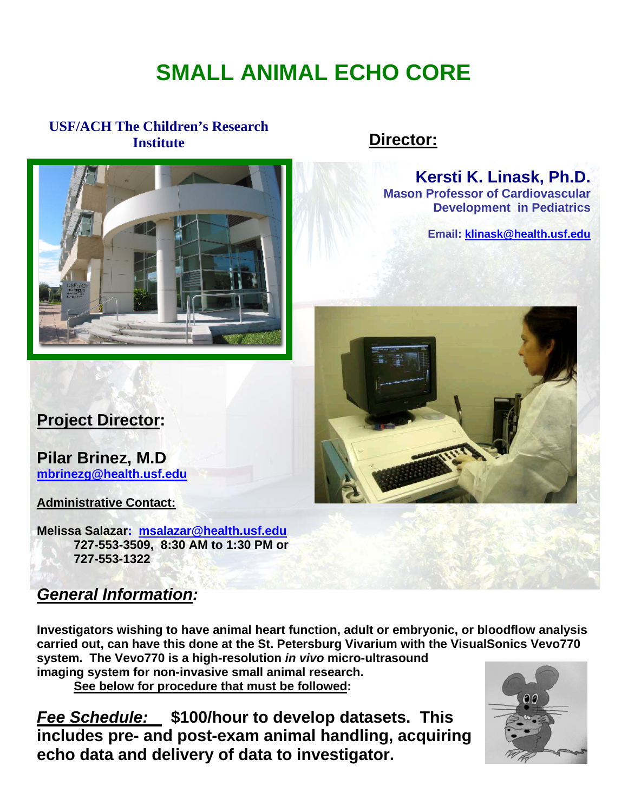# **SMALL ANIMAL ECHO CORE**

### **USF/ACH The Children's Research Institute**



## **Director:**

**Kersti K. Linask, Ph.D. Mason Professor of Cardiovascular Development in Pediatrics** 

**Email: [klinask@health.usf.edu](mailto:klinask@health.usf.edu)**



# **Project Director:**

**Pilar Brinez, M.D [mbrinezg@health.usf.edu](mailto:mbrinezg@health.usf.edu)**

**Administrative Contact:**

**Melissa Salazar: [msalazar@health.usf.edu](mailto:msalazar@health.usf.edu)  727-553-3509, 8:30 AM to 1:30 PM or 727-553-1322** 

## *General Information:*

**Investigators wishing to have animal heart function, adult or embryonic, or bloodflow analysis carried out, can have this done at the St. Petersburg Vivarium with the VisualSonics Vevo770 system. The Vevo770 is a high-resolution** *in vivo* **micro-ultrasound** 

**imaging system for non-invasive small animal research.** 

**See below for procedure that must be followed:** 

*Fee Schedule:* **\$100/hour to develop datasets. This includes pre- and post-exam animal handling, acquiring echo data and delivery of data to investigator.**